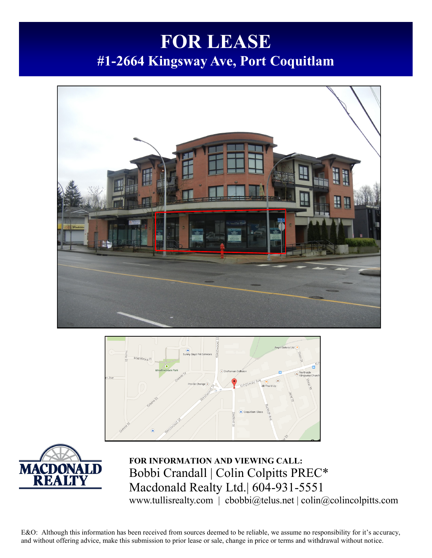# **FOR LEASE #1-2664 Kingsway Ave, Port Coquitlam**







**FOR INFORMATION AND VIEWING CALL:** Bobbi Crandall | Colin Colpitts PREC\* Macdonald Realty Ltd.| 604-931-5551 www.tullisrealty.com | cbobbi@telus.net | colin@colincolpitts.com

E&O: Although this information has been received from sources deemed to be reliable, we assume no responsibility for it's accuracy, and without offering advice, make this submission to prior lease or sale, change in price or terms and withdrawal without notice.